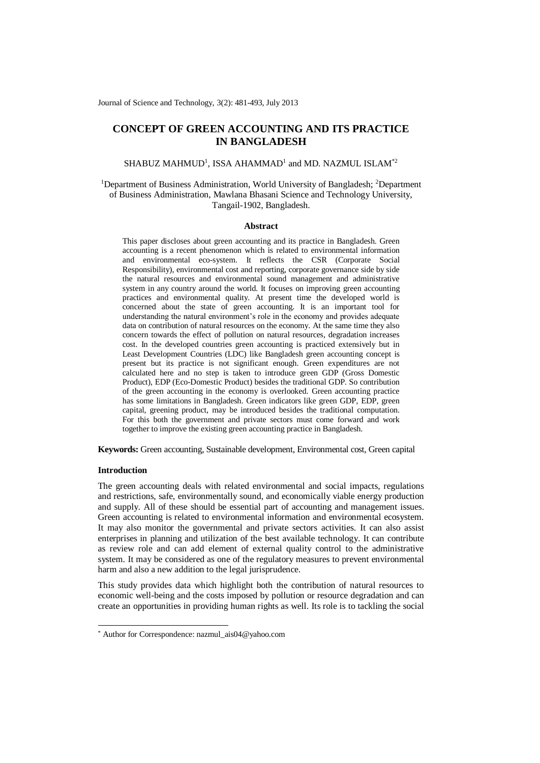Journal of Science and Technology, 3(2): 481-493, July 2013

# **CONCEPT OF GREEN ACCOUNTING AND ITS PRACTICE IN BANGLADESH**

 $SHABUZ$   $MAH MUD<sup>1</sup>$ , ISSA  $AHAMMAD<sup>1</sup>$  and  $MD.$   $NAZMUL$  ISLAM $^{\ast 2}$ 

# <sup>1</sup>Department of Business Administration, World University of Bangladesh; <sup>2</sup>Department of Business Administration, Mawlana Bhasani Science and Technology University, Tangail-1902, Bangladesh.

#### **Abstract**

This paper discloses about green accounting and its practice in Bangladesh. Green accounting is a recent phenomenon which is related to environmental information and environmental eco-system. It reflects the CSR (Corporate Social Responsibility), environmental cost and reporting, corporate governance side by side the natural resources and environmental sound management and administrative system in any country around the world. It focuses on improving green accounting practices and environmental quality. At present time the developed world is concerned about the state of green accounting. It is an important tool for understanding the natural environment's role in the economy and provides adequate data on contribution of natural resources on the economy. At the same time they also concern towards the effect of pollution on natural resources, degradation increases cost. In the developed countries green accounting is practiced extensively but in Least Development Countries (LDC) like Bangladesh green accounting concept is present but its practice is not significant enough. Green expenditures are not calculated here and no step is taken to introduce green GDP (Gross Domestic Product), EDP (Eco-Domestic Product) besides the traditional GDP. So contribution of the green accounting in the economy is overlooked. Green accounting practice has some limitations in Bangladesh. Green indicators like green GDP, EDP, green capital, greening product, may be introduced besides the traditional computation. For this both the government and private sectors must come forward and work together to improve the existing green accounting practice in Bangladesh.

**Keywords:** Green accounting, Sustainable development, Environmental cost, Green capital

# **Introduction**

-

The green accounting deals with related environmental and social impacts, regulations and restrictions, safe, environmentally sound, and economically viable energy production and supply. All of these should be essential part of accounting and management issues. Green accounting is related to environmental information and environmental ecosystem. It may also monitor the governmental and private sectors activities. It can also assist enterprises in planning and utilization of the best available technology. It can contribute as review role and can add element of external quality control to the administrative system. It may be considered as one of the regulatory measures to prevent environmental harm and also a new addition to the legal jurisprudence.

This study provides data which highlight both the contribution of natural resources to economic well-being and the costs imposed by pollution or resource degradation and can create an opportunities in providing human rights as well. Its role is to tackling the social

<sup>\*</sup> Author for Correspondence: nazmul\_ais04@yahoo.com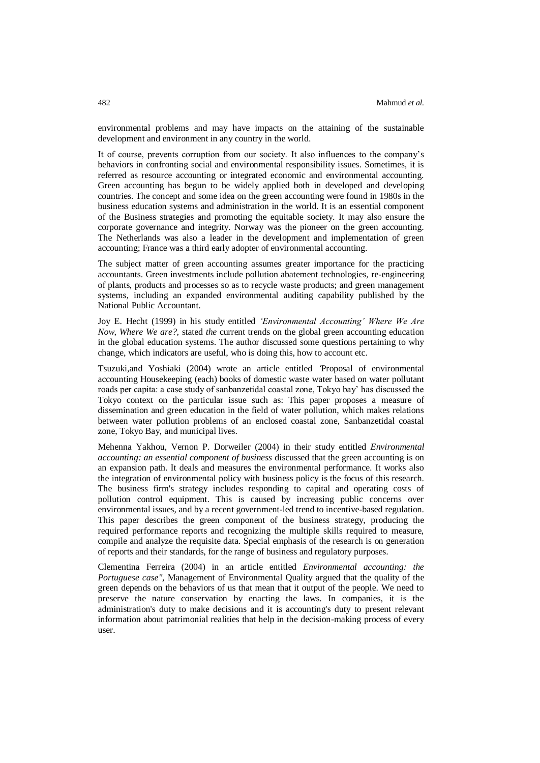environmental problems and may have impacts on the attaining of the sustainable development and environment in any country in the world.

It of course, prevents corruption from our society. It also influences to the company's behaviors in confronting social and environmental responsibility issues. Sometimes, it is referred as resource accounting or integrated economic and environmental accounting. Green accounting has begun to be widely applied both in developed and developing countries. The concept and some idea on the green accounting were found in 1980s in the business education systems and administration in the world. It is an essential component of the Business strategies and promoting the equitable society. It may also ensure the corporate governance and integrity. Norway was the pioneer on the green accounting. The Netherlands was also a leader in the development and implementation of green accounting; France was a third early adopter of environmental accounting.

The subject matter of green accounting assumes greater importance for the practicing accountants. Green investments include pollution abatement technologies, re-engineering of plants, products and processes so as to recycle waste products; and green management systems, including an expanded environmental auditing capability published by the National Public Accountant.

Joy E. Hecht (1999) in his study entitled *'Environmental Accounting' Where We Are Now, Where We are?,* stated *the* current trends on the global green accounting education in the global education systems. The author discussed some questions pertaining to why change, which indicators are useful, who is doing this, how to account etc.

Tsuzuki,and Yoshiaki (2004) wrote an article entitled *'*Proposal of environmental accounting Housekeeping (each) books of domestic waste water based on water pollutant roads per capita: a case study of sanbanzetidal coastal zone, Tokyo bay' has discussed the Tokyo context on the particular issue such as: This paper proposes a measure of dissemination and green education in the field of water pollution, which makes relations between water pollution problems of an enclosed coastal zone, Sanbanzetidal coastal zone, Tokyo Bay, and municipal lives.

Mehenna Yakhou, Vernon P. Dorweiler (2004) in their study entitled *Environmental accounting: an essential component of business* discussed that the green accounting is on an expansion path. It deals and measures the environmental performance. It works also the integration of environmental policy with business policy is the focus of this research. The business firm's strategy includes responding to capital and operating costs of pollution control equipment. This is caused by increasing public concerns over environmental issues, and by a recent government-led trend to incentive-based regulation. This paper describes the green component of the business strategy, producing the required performance reports and recognizing the multiple skills required to measure, compile and analyze the requisite data. Special emphasis of the research is on generation of reports and their standards, for the range of business and regulatory purposes.

Clementina Ferreira (2004) in an article entitled *Environmental accounting: the Portuguese case",* Management of Environmental Quality argued that the quality of the green depends on the behaviors of us that mean that it output of the people. We need to preserve the nature conservation by enacting the laws. In companies, it is the administration's duty to make decisions and it is accounting's duty to present relevant information about patrimonial realities that help in the decision-making process of every user.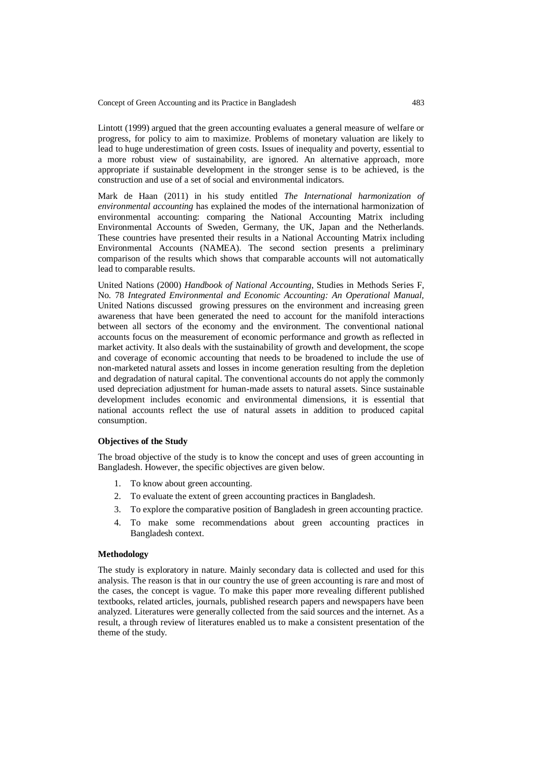Lintott (1999) argued that the green accounting evaluates a general measure of welfare or progress, for policy to aim to maximize. Problems of monetary valuation are likely to lead to huge underestimation of green costs. Issues of inequality and poverty, essential to a more robust view of sustainability, are ignored. An alternative approach, more appropriate if sustainable development in the stronger sense is to be achieved, is the construction and use of a set of social and environmental indicators.

Mark de Haan (2011) in his study entitled *The International harmonization of environmental accounting* has explained the modes of the international harmonization of environmental accounting: comparing the National Accounting Matrix including Environmental Accounts of Sweden, Germany, the UK, Japan and the Netherlands. These countries have presented their results in a National Accounting Matrix including Environmental Accounts (NAMEA). The second section presents a preliminary comparison of the results which shows that comparable accounts will not automatically lead to comparable results.

United Nations (2000) *Handbook of National Accounting*, Studies in Methods Series F, No. 78 *Integrated Environmental and Economic Accounting: An Operational Manual,*  United Nations discussed growing pressures on the environment and increasing green awareness that have been generated the need to account for the manifold interactions between all sectors of the economy and the environment. The conventional national accounts focus on the measurement of economic performance and growth as reflected in market activity. It also deals with the sustainability of growth and development, the scope and coverage of economic accounting that needs to be broadened to include the use of non-marketed natural assets and losses in income generation resulting from the depletion and degradation of natural capital. The conventional accounts do not apply the commonly used depreciation adjustment for human-made assets to natural assets. Since sustainable development includes economic and environmental dimensions, it is essential that national accounts reflect the use of natural assets in addition to produced capital consumption.

## **Objectives of the Study**

The broad objective of the study is to know the concept and uses of green accounting in Bangladesh. However, the specific objectives are given below.

- 1. To know about green accounting.
- 2. To evaluate the extent of green accounting practices in Bangladesh.
- 3. To explore the comparative position of Bangladesh in green accounting practice.
- 4. To make some recommendations about green accounting practices in Bangladesh context.

#### **Methodology**

The study is exploratory in nature. Mainly secondary data is collected and used for this analysis. The reason is that in our country the use of green accounting is rare and most of the cases, the concept is vague. To make this paper more revealing different published textbooks, related articles, journals, published research papers and newspapers have been analyzed. Literatures were generally collected from the said sources and the internet. As a result, a through review of literatures enabled us to make a consistent presentation of the theme of the study.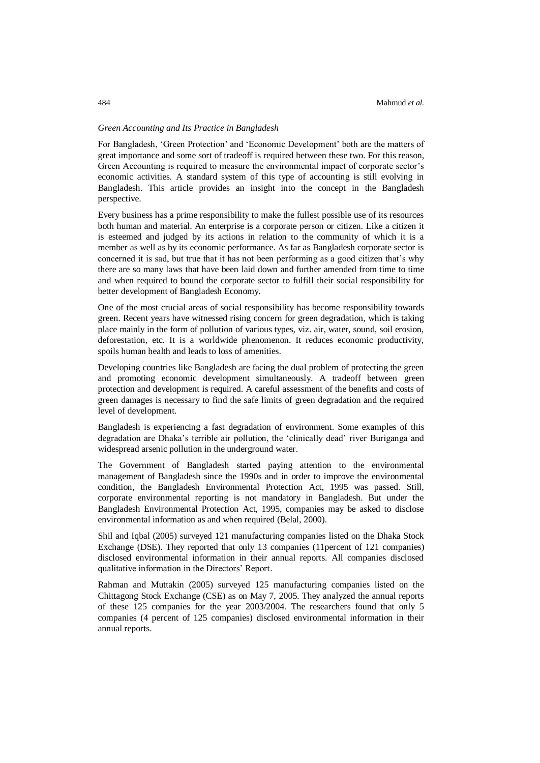### *Green Accounting and Its Practice in Bangladesh*

For Bangladesh, 'Green Protection' and 'Economic Development' both are the matters of great importance and some sort of tradeoff is required between these two. For this reason, Green Accounting is required to measure the environmental impact of corporate sector's economic activities. A standard system of this type of accounting is still evolving in Bangladesh. This article provides an insight into the concept in the Bangladesh perspective.

Every business has a prime responsibility to make the fullest possible use of its resources both human and material. An enterprise is a corporate person or citizen. Like a citizen it is esteemed and judged by its actions in relation to the community of which it is a member as well as by its economic performance. As far as Bangladesh corporate sector is concerned it is sad, but true that it has not been performing as a good citizen that's why there are so many laws that have been laid down and further amended from time to time and when required to bound the corporate sector to fulfill their social responsibility for better development of Bangladesh Economy.

One of the most crucial areas of social responsibility has become responsibility towards green. Recent years have witnessed rising concern for green degradation, which is taking place mainly in the form of pollution of various types, viz. air, water, sound, soil erosion, deforestation, etc. It is a worldwide phenomenon. It reduces economic productivity, spoils human health and leads to loss of amenities.

Developing countries like Bangladesh are facing the dual problem of protecting the green and promoting economic development simultaneously. A tradeoff between green protection and development is required. A careful assessment of the benefits and costs of green damages is necessary to find the safe limits of green degradation and the required level of development.

Bangladesh is experiencing a fast degradation of environment. Some examples of this degradation are Dhaka's terrible air pollution, the 'clinically dead' river Buriganga and widespread arsenic pollution in the underground water.

The Government of Bangladesh started paying attention to the environmental management of Bangladesh since the 1990s and in order to improve the environmental condition, the Bangladesh Environmental Protection Act, 1995 was passed. Still, corporate environmental reporting is not mandatory in Bangladesh. But under the Bangladesh Environmental Protection Act, 1995, companies may be asked to disclose environmental information as and when required (Belal, 2000).

Shil and Iqbal (2005) surveyed 121 manufacturing companies listed on the Dhaka Stock Exchange (DSE). They reported that only 13 companies (11percent of 121 companies) disclosed environmental information in their annual reports. All companies disclosed qualitative information in the Directors' Report.

Rahman and Muttakin (2005) surveyed 125 manufacturing companies listed on the Chittagong Stock Exchange (CSE) as on May 7, 2005. They analyzed the annual reports of these 125 companies for the year 2003/2004. The researchers found that only 5 companies (4 percent of 125 companies) disclosed environmental information in their annual reports.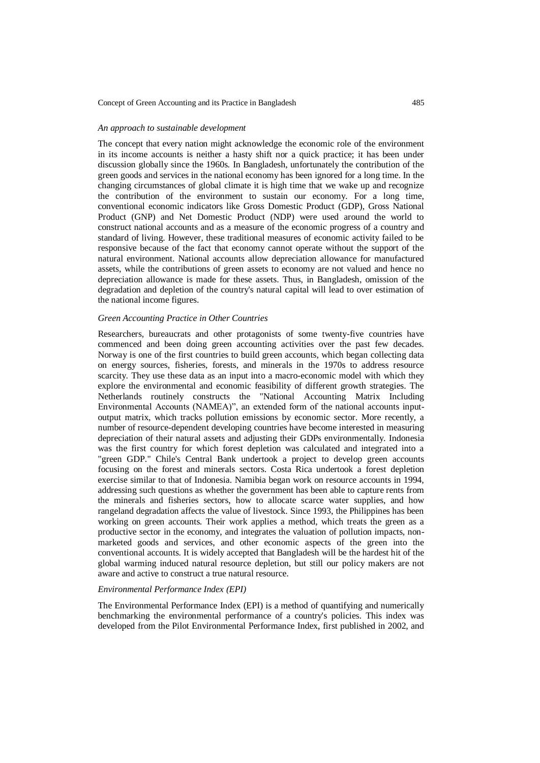### *An approach to sustainable development*

The concept that every nation might acknowledge the economic role of the environment in its income accounts is neither a hasty shift nor a quick practice; it has been under discussion globally since the 1960s. In Bangladesh, unfortunately the contribution of the green goods and services in the national economy has been ignored for a long time. In the changing circumstances of global climate it is high time that we wake up and recognize the contribution of the environment to sustain our economy. For a long time, conventional economic indicators like Gross Domestic Product (GDP), Gross National Product (GNP) and Net Domestic Product (NDP) were used around the world to construct national accounts and as a measure of the economic progress of a country and standard of living. However, these traditional measures of economic activity failed to be responsive because of the fact that economy cannot operate without the support of the natural environment. National accounts allow depreciation allowance for manufactured assets, while the contributions of green assets to economy are not valued and hence no depreciation allowance is made for these assets. Thus, in Bangladesh, omission of the degradation and depletion of the country's natural capital will lead to over estimation of the national income figures.

### *Green Accounting Practice in Other Countries*

Researchers, bureaucrats and other protagonists of some twenty-five countries have commenced and been doing green accounting activities over the past few decades. Norway is one of the first countries to build green accounts, which began collecting data on energy sources, fisheries, forests, and minerals in the 1970s to address resource scarcity. They use these data as an input into a macro-economic model with which they explore the environmental and economic feasibility of different growth strategies. The Netherlands routinely constructs the "National Accounting Matrix Including Environmental Accounts (NAMEA)", an extended form of the national accounts inputoutput matrix, which tracks pollution emissions by economic sector. More recently, a number of resource-dependent developing countries have become interested in measuring depreciation of their natural assets and adjusting their GDPs environmentally. Indonesia was the first country for which forest depletion was calculated and integrated into a "green GDP." Chile's Central Bank undertook a project to develop green accounts focusing on the forest and minerals sectors. Costa Rica undertook a forest depletion exercise similar to that of Indonesia. Namibia began work on resource accounts in 1994, addressing such questions as whether the government has been able to capture rents from the minerals and fisheries sectors, how to allocate scarce water supplies, and how rangeland degradation affects the value of livestock. Since 1993, the Philippines has been working on green accounts. Their work applies a method, which treats the green as a productive sector in the economy, and integrates the valuation of pollution impacts, nonmarketed goods and services, and other economic aspects of the green into the conventional accounts. It is widely accepted that Bangladesh will be the hardest hit of the global warming induced natural resource depletion, but still our policy makers are not aware and active to construct a true natural resource.

## *Environmental Performance Index (EPI)*

The Environmental Performance Index (EPI) is a method of quantifying and numerically benchmarking the environmental performance of a country's policies. This index was developed from the Pilot Environmental Performance Index, first published in 2002, and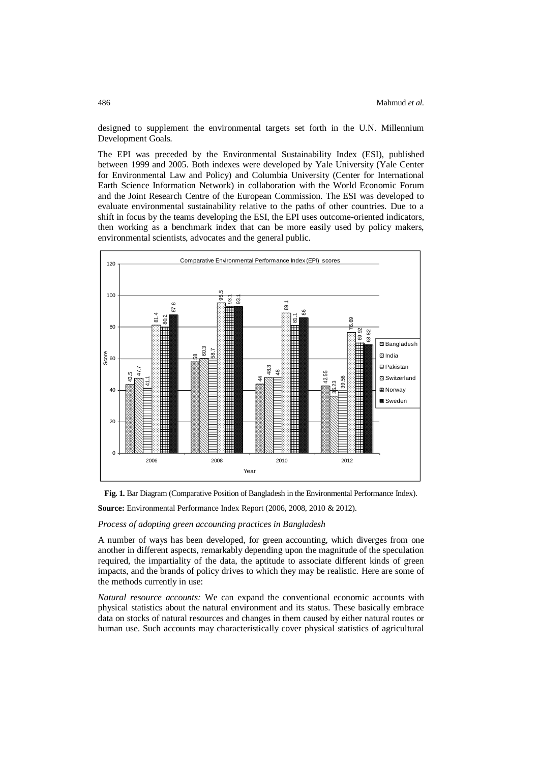designed to supplement the environmental targets set forth in the U.N. Millennium Development Goals.

The EPI was preceded by the Environmental Sustainability Index (ESI), published between 1999 and 2005. Both indexes were developed by Yale University (Yale Center for Environmental Law and Policy) and Columbia University (Center for International Earth Science Information Network) in collaboration with the World Economic Forum and the Joint Research Centre of the European Commission. The ESI was developed to evaluate environmental sustainability relative to the paths of other countries. Due to a shift in focus by the teams developing the ESI, the EPI uses outcome-oriented indicators, then working as a benchmark index that can be more easily used by policy makers, environmental scientists, advocates and the general public.





**Source:** Environmental Performance Index Report (2006, 2008, 2010 & 2012).

## *Process of adopting green accounting practices in Bangladesh*

A number of ways has been developed, for green accounting, which diverges from one another in different aspects, remarkably depending upon the magnitude of the speculation required, the impartiality of the data, the aptitude to associate different kinds of green impacts, and the brands of policy drives to which they may be realistic. Here are some of the methods currently in use:

*Natural resource accounts:* We can expand the conventional economic accounts with physical statistics about the natural environment and its status. These basically embrace data on stocks of natural resources and changes in them caused by either natural routes or human use. Such accounts may characteristically cover physical statistics of agricultural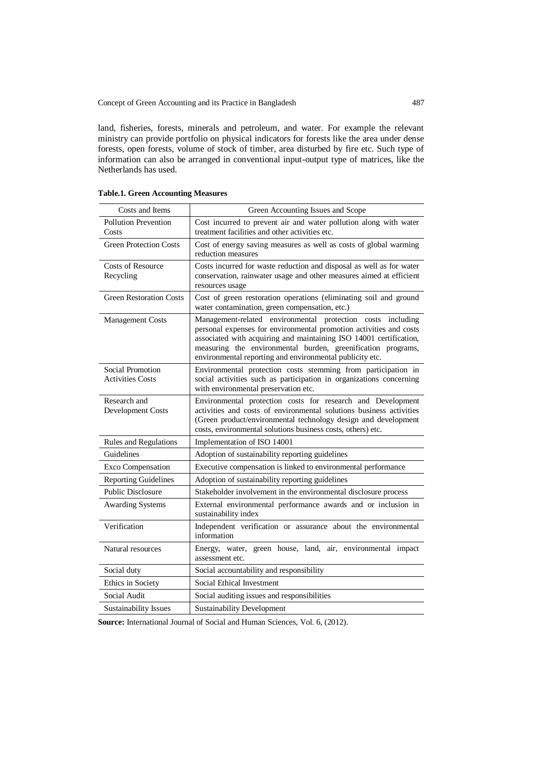land, fisheries, forests, minerals and petroleum, and water. For example the relevant ministry can provide portfolio on physical indicators for forests like the area under dense forests, open forests, volume of stock of timber, area disturbed by fire etc. Such type of information can also be arranged in conventional input-output type of matrices, like the Netherlands has used.

| Costs and Items                             | Green Accounting Issues and Scope                                                                                                                                                                                                                                                                                                   |
|---------------------------------------------|-------------------------------------------------------------------------------------------------------------------------------------------------------------------------------------------------------------------------------------------------------------------------------------------------------------------------------------|
| Pollution Prevention<br>Costs               | Cost incurred to prevent air and water pollution along with water<br>treatment facilities and other activities etc.                                                                                                                                                                                                                 |
| <b>Green Protection Costs</b>               | Cost of energy saving measures as well as costs of global warming<br>reduction measures                                                                                                                                                                                                                                             |
| Costs of Resource<br>Recycling              | Costs incurred for waste reduction and disposal as well as for water<br>conservation, rainwater usage and other measures aimed at efficient<br>resources usage                                                                                                                                                                      |
| <b>Green Restoration Costs</b>              | Cost of green restoration operations (eliminating soil and ground<br>water contamination, green compensation, etc.)                                                                                                                                                                                                                 |
| <b>Management Costs</b>                     | Management-related environmental protection costs including<br>personal expenses for environmental promotion activities and costs<br>associated with acquiring and maintaining ISO 14001 certification,<br>measuring the environmental burden, greenification programs,<br>environmental reporting and environmental publicity etc. |
| Social Promotion<br><b>Activities Costs</b> | Environmental protection costs stemming from participation in<br>social activities such as participation in organizations concerning<br>with environmental preservation etc.                                                                                                                                                        |
| Research and<br>Development Costs           | Environmental protection costs for research and Development<br>activities and costs of environmental solutions business activities<br>(Green product/environmental technology design and development<br>costs, environmental solutions business costs, others) etc.                                                                 |
| Rules and Regulations                       | Implementation of ISO 14001                                                                                                                                                                                                                                                                                                         |
| Guidelines                                  | Adoption of sustainability reporting guidelines                                                                                                                                                                                                                                                                                     |
| Exco Compensation                           | Executive compensation is linked to environmental performance                                                                                                                                                                                                                                                                       |
| <b>Reporting Guidelines</b>                 | Adoption of sustainability reporting guidelines                                                                                                                                                                                                                                                                                     |
| <b>Public Disclosure</b>                    | Stakeholder involvement in the environmental disclosure process                                                                                                                                                                                                                                                                     |
| <b>Awarding Systems</b>                     | External environmental performance awards and or inclusion in<br>sustainability index                                                                                                                                                                                                                                               |
| Verification                                | Independent verification or assurance about the environmental<br>information                                                                                                                                                                                                                                                        |
| Natural resources                           | Energy, water, green house, land, air, environmental impact<br>assessment etc.                                                                                                                                                                                                                                                      |
| Social duty                                 | Social accountability and responsibility                                                                                                                                                                                                                                                                                            |
| Ethics in Society                           | Social Ethical Investment                                                                                                                                                                                                                                                                                                           |
| Social Audit                                | Social auditing issues and responsibilities                                                                                                                                                                                                                                                                                         |
| Sustainability Issues                       | <b>Sustainability Development</b>                                                                                                                                                                                                                                                                                                   |

**Table.1. Green Accounting Measures**

**Source:** International Journal of Social and Human Sciences, Vol. 6, (2012).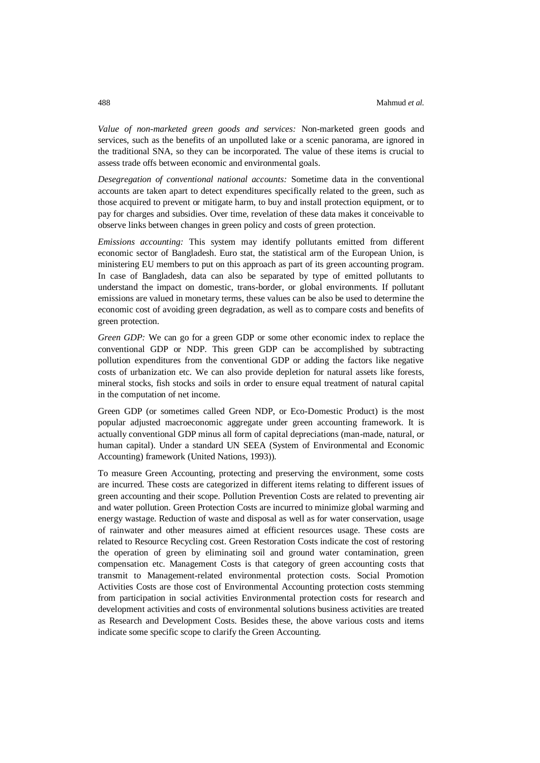*Value of non-marketed green goods and services:* Non-marketed green goods and services, such as the benefits of an unpolluted lake or a scenic panorama, are ignored in the traditional SNA, so they can be incorporated. The value of these items is crucial to assess trade offs between economic and environmental goals.

*Desegregation of conventional national accounts:* Sometime data in the conventional accounts are taken apart to detect expenditures specifically related to the green, such as those acquired to prevent or mitigate harm, to buy and install protection equipment, or to pay for charges and subsidies. Over time, revelation of these data makes it conceivable to observe links between changes in green policy and costs of green protection.

*Emissions accounting:* This system may identify pollutants emitted from different economic sector of Bangladesh. Euro stat, the statistical arm of the European Union, is ministering EU members to put on this approach as part of its green accounting program. In case of Bangladesh, data can also be separated by type of emitted pollutants to understand the impact on domestic, trans-border, or global environments. If pollutant emissions are valued in monetary terms, these values can be also be used to determine the economic cost of avoiding green degradation, as well as to compare costs and benefits of green protection.

*Green GDP:* We can go for a green GDP or some other economic index to replace the conventional GDP or NDP. This green GDP can be accomplished by subtracting pollution expenditures from the conventional GDP or adding the factors like negative costs of urbanization etc. We can also provide depletion for natural assets like forests, mineral stocks, fish stocks and soils in order to ensure equal treatment of natural capital in the computation of net income.

Green GDP (or sometimes called Green NDP, or Eco-Domestic Product) is the most popular adjusted macroeconomic aggregate under green accounting framework. It is actually conventional GDP minus all form of capital depreciations (man-made, natural, or human capital). Under a standard UN SEEA (System of Environmental and Economic Accounting) framework (United Nations, 1993)).

To measure Green Accounting, protecting and preserving the environment, some costs are incurred. These costs are categorized in different items relating to different issues of green accounting and their scope. Pollution Prevention Costs are related to preventing air and water pollution. Green Protection Costs are incurred to minimize global warming and energy wastage. Reduction of waste and disposal as well as for water conservation, usage of rainwater and other measures aimed at efficient resources usage. These costs are related to Resource Recycling cost. Green Restoration Costs indicate the cost of restoring the operation of green by eliminating soil and ground water contamination, green compensation etc. Management Costs is that category of green accounting costs that transmit to Management-related environmental protection costs. Social Promotion Activities Costs are those cost of Environmental Accounting protection costs stemming from participation in social activities Environmental protection costs for research and development activities and costs of environmental solutions business activities are treated as Research and Development Costs. Besides these, the above various costs and items indicate some specific scope to clarify the Green Accounting.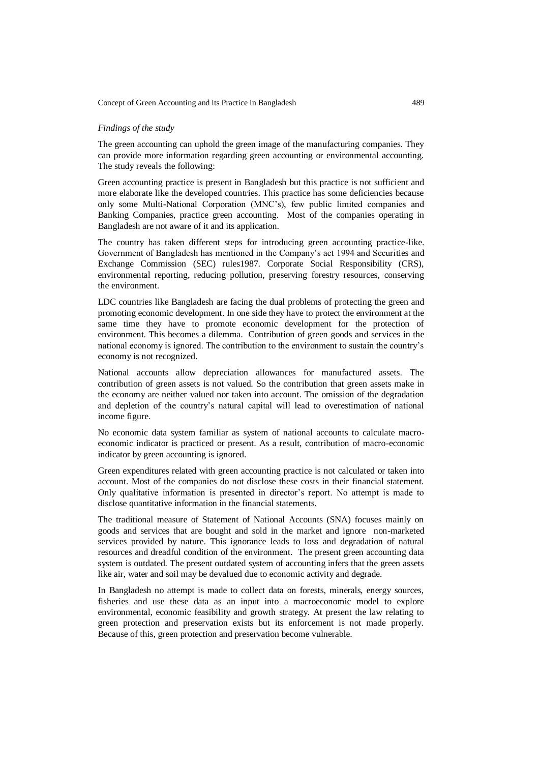### *Findings of the study*

The green accounting can uphold the green image of the manufacturing companies. They can provide more information regarding green accounting or environmental accounting. The study reveals the following:

Green accounting practice is present in Bangladesh but this practice is not sufficient and more elaborate like the developed countries. This practice has some deficiencies because only some Multi-National Corporation (MNC's), few public limited companies and Banking Companies, practice green accounting. Most of the companies operating in Bangladesh are not aware of it and its application.

The country has taken different steps for introducing green accounting practice-like. Government of Bangladesh has mentioned in the Company's act 1994 and Securities and Exchange Commission (SEC) rules1987. Corporate Social Responsibility (CRS), environmental reporting, reducing pollution, preserving forestry resources, conserving the environment.

LDC countries like Bangladesh are facing the dual problems of protecting the green and promoting economic development. In one side they have to protect the environment at the same time they have to promote economic development for the protection of environment. This becomes a dilemma. Contribution of green goods and services in the national economy is ignored. The contribution to the environment to sustain the country's economy is not recognized.

National accounts allow depreciation allowances for manufactured assets. The contribution of green assets is not valued. So the contribution that green assets make in the economy are neither valued nor taken into account. The omission of the degradation and depletion of the country's natural capital will lead to overestimation of national income figure.

No economic data system familiar as system of national accounts to calculate macroeconomic indicator is practiced or present. As a result, contribution of macro-economic indicator by green accounting is ignored.

Green expenditures related with green accounting practice is not calculated or taken into account. Most of the companies do not disclose these costs in their financial statement. Only qualitative information is presented in director's report. No attempt is made to disclose quantitative information in the financial statements.

The traditional measure of Statement of National Accounts (SNA) focuses mainly on goods and services that are bought and sold in the market and ignore non-marketed services provided by nature. This ignorance leads to loss and degradation of natural resources and dreadful condition of the environment. The present green accounting data system is outdated. The present outdated system of accounting infers that the green assets like air, water and soil may be devalued due to economic activity and degrade.

In Bangladesh no attempt is made to collect data on forests, minerals, energy sources, fisheries and use these data as an input into a macroeconomic model to explore environmental, economic feasibility and growth strategy. At present the law relating to green protection and preservation exists but its enforcement is not made properly. Because of this, green protection and preservation become vulnerable.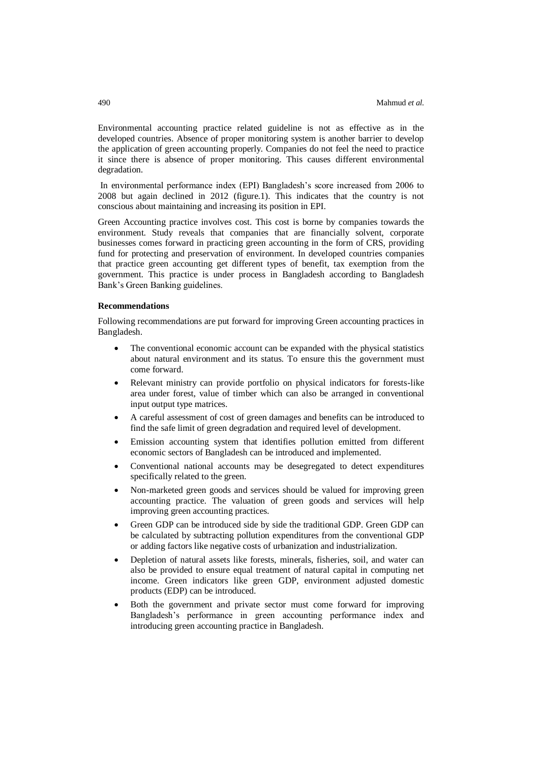Environmental accounting practice related guideline is not as effective as in the developed countries. Absence of proper monitoring system is another barrier to develop the application of green accounting properly. Companies do not feel the need to practice it since there is absence of proper monitoring. This causes different environmental degradation.

In environmental performance index (EPI) Bangladesh's score increased from 2006 to 2008 but again declined in 2012 (figure.1). This indicates that the country is not conscious about maintaining and increasing its position in EPI.

Green Accounting practice involves cost. This cost is borne by companies towards the environment. Study reveals that companies that are financially solvent, corporate businesses comes forward in practicing green accounting in the form of CRS, providing fund for protecting and preservation of environment. In developed countries companies that practice green accounting get different types of benefit, tax exemption from the government. This practice is under process in Bangladesh according to Bangladesh Bank's Green Banking guidelines.

#### **Recommendations**

Following recommendations are put forward for improving Green accounting practices in Bangladesh.

- The conventional economic account can be expanded with the physical statistics about natural environment and its status. To ensure this the government must come forward.
- Relevant ministry can provide portfolio on physical indicators for forests-like area under forest, value of timber which can also be arranged in conventional input output type matrices.
- A careful assessment of cost of green damages and benefits can be introduced to find the safe limit of green degradation and required level of development.
- Emission accounting system that identifies pollution emitted from different economic sectors of Bangladesh can be introduced and implemented.
- Conventional national accounts may be desegregated to detect expenditures specifically related to the green.
- Non-marketed green goods and services should be valued for improving green accounting practice. The valuation of green goods and services will help improving green accounting practices.
- Green GDP can be introduced side by side the traditional GDP. Green GDP can be calculated by subtracting pollution expenditures from the conventional GDP or adding factors like negative costs of urbanization and industrialization.
- Depletion of natural assets like forests, minerals, fisheries, soil, and water can also be provided to ensure equal treatment of natural capital in computing net income. Green indicators like green GDP, environment adjusted domestic products (EDP) can be introduced.
- Both the government and private sector must come forward for improving Bangladesh's performance in green accounting performance index and introducing green accounting practice in Bangladesh.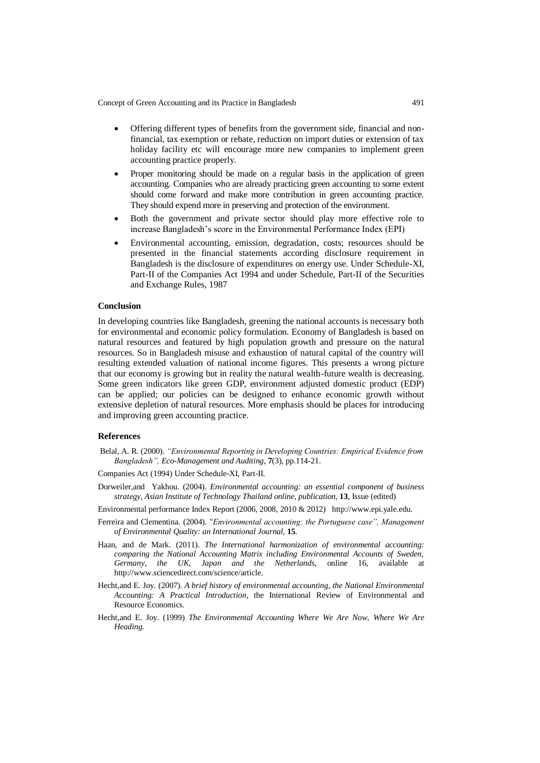- Offering different types of benefits from the government side, financial and nonfinancial, tax exemption or rebate, reduction on import duties or extension of tax holiday facility etc will encourage more new companies to implement green accounting practice properly.
- Proper monitoring should be made on a regular basis in the application of green accounting. Companies who are already practicing green accounting to some extent should come forward and make more contribution in green accounting practice. They should expend more in preserving and protection of the environment.
- Both the government and private sector should play more effective role to increase Bangladesh's score in the Environmental Performance Index (EPI)
- Environmental accounting, emission, degradation, costs; resources should be presented in the financial statements according disclosure requirement in Bangladesh is the disclosure of expenditures on energy use. Under Schedule-XI, Part-II of the Companies Act 1994 and under Schedule, Part-II of the Securities and Exchange Rules, 1987

## **Conclusion**

In developing countries like Bangladesh, greening the national accounts is necessary both for environmental and economic policy formulation. Economy of Bangladesh is based on natural resources and featured by high population growth and pressure on the natural resources. So in Bangladesh misuse and exhaustion of natural capital of the country will resulting extended valuation of national income figures. This presents a wrong picture that our economy is growing but in reality the natural wealth-future wealth is decreasing. Some green indicators like green GDP, environment adjusted domestic product (EDP) can be applied; our policies can be designed to enhance economic growth without extensive depletion of natural resources. More emphasis should be places for introducing and improving green accounting practice.

### **References**

- Belal, A. R. (2000). *"Environmental Reporting in Developing Countries: Empirical Evidence from Bangladesh", Eco-Management and Auditing,* **7**(3), pp.114-21.
- Companies Act (1994) Under Schedule-XI, Part-II.
- Dorweiler,and Yakhou. (2004). *Environmental accounting: an essential component of business strategy, Asian Institute of Technology Thailand online, publication,* **13**, Issue (edited)
- Environmental performance Index Report (2006, 2008, 2010 & 2012) [http://www.epi.yale.edu.](http://www.epi.yale.edu/)
- Ferreira and Clementina. (2004). "*Environmental accounting: the Portuguese case", Management of Environmental Quality: an International Journal*, **15**.
- Haan, and de Mark. (2011). *The International harmonization of environmental accounting: comparing the National Accounting Matrix including Environmental Accounts of Sweden, Germany, the UK, Japan and the Netherlands*, online 16, available at http://www.sciencedirect.com/science/article.
- Hecht,and E. Joy. (2007). *A brief history of environmental accounting, the National Environmental Accounting: A Practical Introduction,* the International Review of Environmental and Resource Economics.
- Hecht,and E. Joy. (1999) *The Environmental Accounting Where We Are Now, Where We Are Heading.*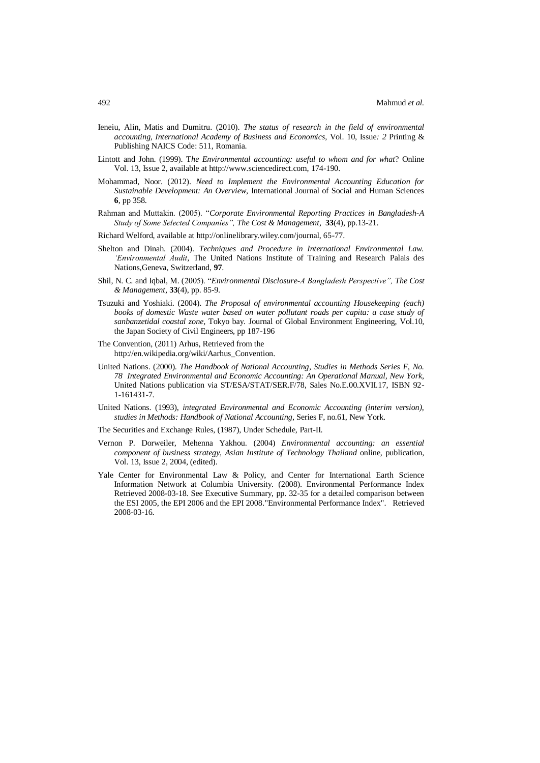- Ieneiu, Alin, Matis and Dumitru. (2010). *The status of research in the field of environmental accounting, International Academy of Business and Economics*, Vol. 10, Issue*: 2* Printing & Publishing NAICS Code: 511, Romania.
- Lintott and John. (1999). T*he Environmental accounting: useful to whom and for what*? Online Vol. 13, Issue 2, available at http://www.sciencedirect.com, 174-190.
- Mohammad, Noor. (2012). *Need to Implement the Environmental Accounting Education for Sustainable Development: An Overview,* International Journal of Social and Human Sciences **6**, pp 358.
- Rahman and Muttakin. (2005). "*Corporate Environmental Reporting Practices in Bangladesh-A Study of Some Selected Companies", The Cost & Management*, **33**(4), pp.13-21.
- Richard Welford, available at http://onlinelibrary.wiley.com/journal, 65-77.
- Shelton and Dinah. (2004). *Techniques and Procedure in International Environmental Law. 'Environmental Audit,* The United Nations Institute of Training and Research Palais des Nations,Geneva, Switzerland, **97**.
- Shil, N. C. and Iqbal, M. (2005). "*Environmental Disclosure-A Bangladesh Perspective", The Cost & Management*, **33**(4), pp. 85-9.
- Tsuzuki and Yoshiaki. (2004). *The Proposal of environmental accounting Housekeeping (each) books of domestic Waste water based on water pollutant roads per capita: a case study of sanbanzetidal coastal zone,* Tokyo bay. Journal of Global Environment Engineering, Vol.10, the Japan Society of Civil Engineers, pp 187-196
- The Convention, (2011) Arhus, Retrieved from the [http://en.wikipedia.org/wiki/Aarhus\\_Convention.](http://en.wikipedia.org/wiki/Aarhus_Convention)
- United Nations. (2000). *The Handbook of National Accounting, Studies in Methods Series F, No. 78 Integrated Environmental and Economic Accounting: An Operational Manual, New York,* United Nations publication via ST/ESA/STAT/SER.F/78, Sales No.E.00.XVII.17, ISBN 92- 1-161431-7.
- United Nations. (1993), *integrated Environmental and Economic Accounting (interim version), studies in Methods: Handbook of National Accounting*, Series F, no.61, New York.
- The Securities and Exchange Rules, (1987), Under Schedule, Part-II.
- Vernon P. Dorweiler, Mehenna Yakhou. (2004) *Environmental accounting: an essential component of business strategy, Asian Institute of Technology Thailand* online, publication, Vol. 13, Issue 2, 2004, (edited).
- Yale Center for Environmental Law & Policy, and Center for International Earth Science Information Network at Columbia University. (2008). Environmental Performance Index Retrieved 2008-03-18. See Executive Summary, pp. 32-35 for a detailed comparison between the ESI 2005, the EPI 2006 and the EPI 2008[."Environmental Performance Index".](http://research.yale.edu/envirocenter/index.php?page=environmental-performance-index) Retrieved 2008-03-16.